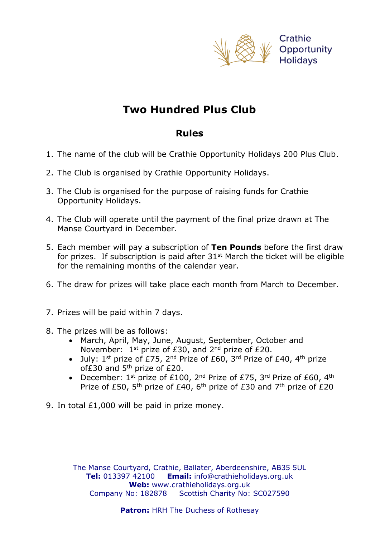

## **Two Hundred Plus Club**

## **Rules**

- 1. The name of the club will be Crathie Opportunity Holidays 200 Plus Club.
- 2. The Club is organised by Crathie Opportunity Holidays.
- 3. The Club is organised for the purpose of raising funds for Crathie Opportunity Holidays.
- 4. The Club will operate until the payment of the final prize drawn at The Manse Courtyard in December.
- 5. Each member will pay a subscription of **Ten Pounds** before the first draw for prizes. If subscription is paid after  $31<sup>st</sup>$  March the ticket will be eligible for the remaining months of the calendar year.
- 6. The draw for prizes will take place each month from March to December.
- 7. Prizes will be paid within 7 days.
- 8. The prizes will be as follows:
	- March, April, May, June, August, September, October and November:  $1<sup>st</sup>$  prize of £30, and  $2<sup>nd</sup>$  prize of £20.
	- July:  $1^{st}$  prize of £75,  $2^{nd}$  Prize of £60,  $3^{rd}$  Prize of £40,  $4^{th}$  prize of $£30$  and  $5<sup>th</sup>$  prize of  $£20$ .
	- December:  $1^{st}$  prize of £100, 2<sup>nd</sup> Prize of £75, 3<sup>rd</sup> Prize of £60, 4<sup>th</sup> Prize of £50, 5<sup>th</sup> prize of £40, 6<sup>th</sup> prize of £30 and 7<sup>th</sup> prize of £20
- 9. In total £1,000 will be paid in prize money.

The Manse Courtyard, Crathie, Ballater, Aberdeenshire, AB35 5UL **Tel:** 013397 42100 **Email:** info@crathieholidays.org.uk **Web:** www.crathieholidays.org.uk Company No: 182878 Scottish Charity No: SC027590

**Patron: HRH The Duchess of Rothesay**